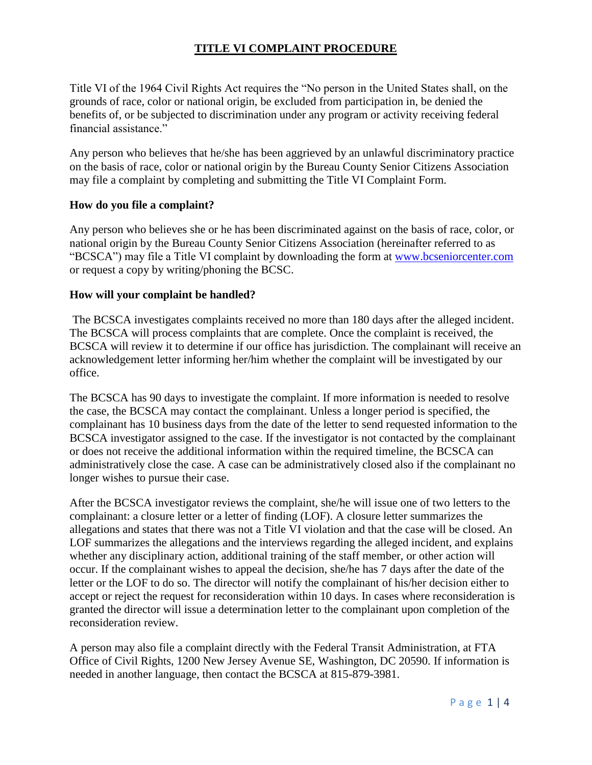## **TITLE VI COMPLAINT PROCEDURE**

Title VI of the 1964 Civil Rights Act requires the "No person in the United States shall, on the grounds of race, color or national origin, be excluded from participation in, be denied the benefits of, or be subjected to discrimination under any program or activity receiving federal financial assistance."

Any person who believes that he/she has been aggrieved by an unlawful discriminatory practice on the basis of race, color or national origin by the Bureau County Senior Citizens Association may file a complaint by completing and submitting the Title VI Complaint Form.

## **How do you file a complaint?**

Any person who believes she or he has been discriminated against on the basis of race, color, or national origin by the Bureau County Senior Citizens Association (hereinafter referred to as "BCSCA") may file a Title VI complaint by downloading the form at [www.bcseniorcenter.com](http://www.bcseniorcenter.com/) or request a copy by writing/phoning the BCSC.

## **How will your complaint be handled?**

The BCSCA investigates complaints received no more than 180 days after the alleged incident. The BCSCA will process complaints that are complete. Once the complaint is received, the BCSCA will review it to determine if our office has jurisdiction. The complainant will receive an acknowledgement letter informing her/him whether the complaint will be investigated by our office.

The BCSCA has 90 days to investigate the complaint. If more information is needed to resolve the case, the BCSCA may contact the complainant. Unless a longer period is specified, the complainant has 10 business days from the date of the letter to send requested information to the BCSCA investigator assigned to the case. If the investigator is not contacted by the complainant or does not receive the additional information within the required timeline, the BCSCA can administratively close the case. A case can be administratively closed also if the complainant no longer wishes to pursue their case.

After the BCSCA investigator reviews the complaint, she/he will issue one of two letters to the complainant: a closure letter or a letter of finding (LOF). A closure letter summarizes the allegations and states that there was not a Title VI violation and that the case will be closed. An LOF summarizes the allegations and the interviews regarding the alleged incident, and explains whether any disciplinary action, additional training of the staff member, or other action will occur. If the complainant wishes to appeal the decision, she/he has 7 days after the date of the letter or the LOF to do so. The director will notify the complainant of his/her decision either to accept or reject the request for reconsideration within 10 days. In cases where reconsideration is granted the director will issue a determination letter to the complainant upon completion of the reconsideration review.

A person may also file a complaint directly with the Federal Transit Administration, at FTA Office of Civil Rights, 1200 New Jersey Avenue SE, Washington, DC 20590. If information is needed in another language, then contact the BCSCA at 815-879-3981.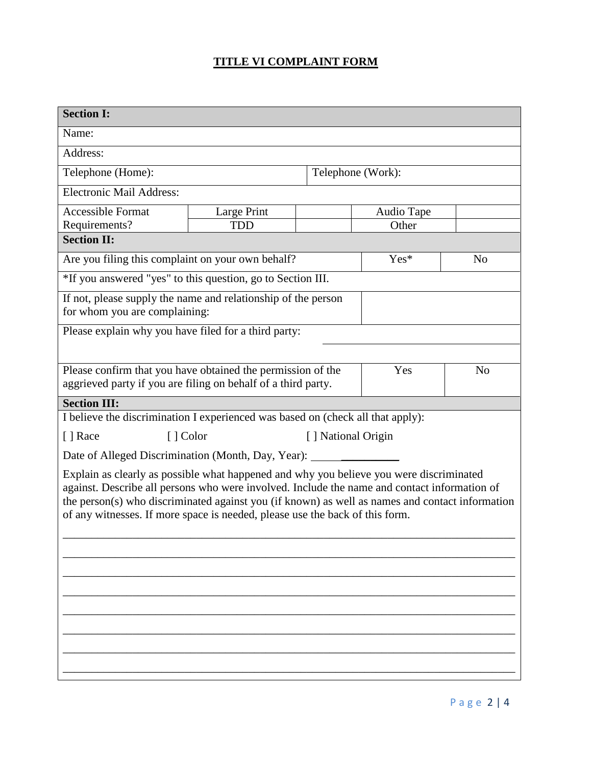## **TITLE VI COMPLAINT FORM**

| <b>Section I:</b>                                                                                                                                                                                                                                                                                                                                                          |             |  |                    |                |  |
|----------------------------------------------------------------------------------------------------------------------------------------------------------------------------------------------------------------------------------------------------------------------------------------------------------------------------------------------------------------------------|-------------|--|--------------------|----------------|--|
| Name:                                                                                                                                                                                                                                                                                                                                                                      |             |  |                    |                |  |
| Address:                                                                                                                                                                                                                                                                                                                                                                   |             |  |                    |                |  |
| Telephone (Home):                                                                                                                                                                                                                                                                                                                                                          |             |  | Telephone (Work):  |                |  |
| <b>Electronic Mail Address:</b>                                                                                                                                                                                                                                                                                                                                            |             |  |                    |                |  |
| <b>Accessible Format</b>                                                                                                                                                                                                                                                                                                                                                   | Large Print |  | Audio Tape         |                |  |
| Requirements?                                                                                                                                                                                                                                                                                                                                                              | <b>TDD</b>  |  | Other              |                |  |
| <b>Section II:</b>                                                                                                                                                                                                                                                                                                                                                         |             |  |                    |                |  |
| Are you filing this complaint on your own behalf?                                                                                                                                                                                                                                                                                                                          |             |  | Yes*               | N <sub>o</sub> |  |
| *If you answered "yes" to this question, go to Section III.                                                                                                                                                                                                                                                                                                                |             |  |                    |                |  |
| If not, please supply the name and relationship of the person<br>for whom you are complaining:                                                                                                                                                                                                                                                                             |             |  |                    |                |  |
| Please explain why you have filed for a third party:                                                                                                                                                                                                                                                                                                                       |             |  |                    |                |  |
|                                                                                                                                                                                                                                                                                                                                                                            |             |  |                    |                |  |
| Please confirm that you have obtained the permission of the<br>aggrieved party if you are filing on behalf of a third party.                                                                                                                                                                                                                                               |             |  | Yes                | N <sub>o</sub> |  |
| <b>Section III:</b>                                                                                                                                                                                                                                                                                                                                                        |             |  |                    |                |  |
| I believe the discrimination I experienced was based on (check all that apply):                                                                                                                                                                                                                                                                                            |             |  |                    |                |  |
| [ ] Race                                                                                                                                                                                                                                                                                                                                                                   | [ ] Color   |  | [] National Origin |                |  |
| Date of Alleged Discrimination (Month, Day, Year): ______                                                                                                                                                                                                                                                                                                                  |             |  |                    |                |  |
| Explain as clearly as possible what happened and why you believe you were discriminated<br>against. Describe all persons who were involved. Include the name and contact information of<br>the person(s) who discriminated against you (if known) as well as names and contact information<br>of any witnesses. If more space is needed, please use the back of this form. |             |  |                    |                |  |
|                                                                                                                                                                                                                                                                                                                                                                            |             |  |                    |                |  |
|                                                                                                                                                                                                                                                                                                                                                                            |             |  |                    |                |  |
|                                                                                                                                                                                                                                                                                                                                                                            |             |  |                    |                |  |
|                                                                                                                                                                                                                                                                                                                                                                            |             |  |                    |                |  |
|                                                                                                                                                                                                                                                                                                                                                                            |             |  |                    |                |  |
|                                                                                                                                                                                                                                                                                                                                                                            |             |  |                    |                |  |
|                                                                                                                                                                                                                                                                                                                                                                            |             |  |                    |                |  |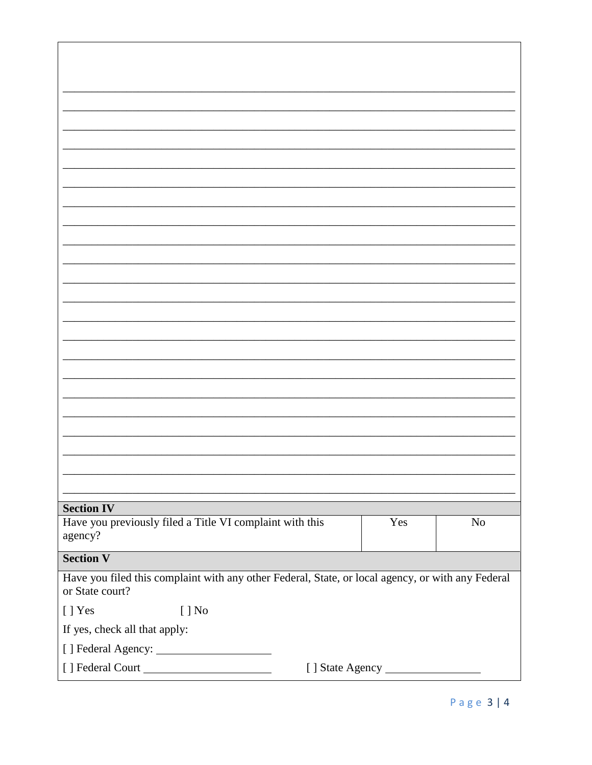| <b>Section IV</b>                                                                                                    |
|----------------------------------------------------------------------------------------------------------------------|
| Have you previously filed a Title VI complaint with this<br>Yes<br>$\rm No$                                          |
| agency?                                                                                                              |
| <b>Section V</b>                                                                                                     |
|                                                                                                                      |
| Have you filed this complaint with any other Federal, State, or local agency, or with any Federal<br>or State court? |
| [ ] Yes<br>$[ ]$ No                                                                                                  |
| If yes, check all that apply:                                                                                        |
|                                                                                                                      |